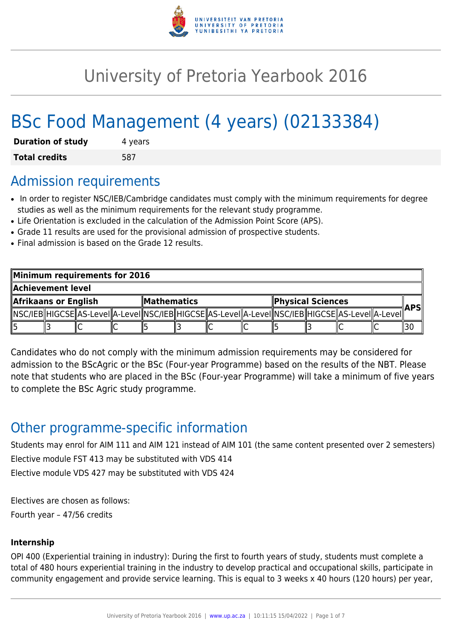

# University of Pretoria Yearbook 2016

# BSc Food Management (4 years) (02133384)

| <b>Duration of study</b> | 4 years |
|--------------------------|---------|
| <b>Total credits</b>     | 587     |

### Admission requirements

- In order to register NSC/IEB/Cambridge candidates must comply with the minimum requirements for degree studies as well as the minimum requirements for the relevant study programme.
- Life Orientation is excluded in the calculation of the Admission Point Score (APS).
- Grade 11 results are used for the provisional admission of prospective students.
- Final admission is based on the Grade 12 results.

| Minimum requirements for 2016 |  |  |              |  |  |                          |  |  |  |                                                                                                            |  |  |
|-------------------------------|--|--|--------------|--|--|--------------------------|--|--|--|------------------------------------------------------------------------------------------------------------|--|--|
| Achievement level             |  |  |              |  |  |                          |  |  |  |                                                                                                            |  |  |
| Afrikaans or English          |  |  | ∥Mathematics |  |  | <b>Physical Sciences</b> |  |  |  | <b>APS</b>                                                                                                 |  |  |
|                               |  |  |              |  |  |                          |  |  |  | NSC/IEB  HIGCSE  AS-LeveI  A-LeveI  NSC/IEB  HIGCSE  AS-LeveI  A-LeveI  NSC/IEB  HIGCSE  AS-LeveI  A-LeveI |  |  |
|                               |  |  |              |  |  |                          |  |  |  |                                                                                                            |  |  |

Candidates who do not comply with the minimum admission requirements may be considered for admission to the BScAgric or the BSc (Four-year Programme) based on the results of the NBT. Please note that students who are placed in the BSc (Four-year Programme) will take a minimum of five years to complete the BSc Agric study programme.

# Other programme-specific information

Students may enrol for AIM 111 and AIM 121 instead of AIM 101 (the same content presented over 2 semesters) Elective module FST 413 may be substituted with VDS 414 Elective module VDS 427 may be substituted with VDS 424

Electives are chosen as follows:

Fourth year – 47/56 credits

### **Internship**

OPI 400 (Experiential training in industry): During the first to fourth years of study, students must complete a total of 480 hours experiential training in the industry to develop practical and occupational skills, participate in community engagement and provide service learning. This is equal to 3 weeks x 40 hours (120 hours) per year,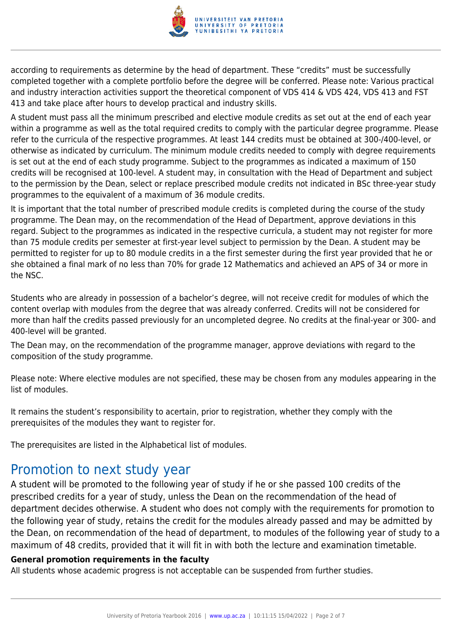

according to requirements as determine by the head of department. These "credits" must be successfully completed together with a complete portfolio before the degree will be conferred. Please note: Various practical and industry interaction activities support the theoretical component of VDS 414 & VDS 424, VDS 413 and FST 413 and take place after hours to develop practical and industry skills.

A student must pass all the minimum prescribed and elective module credits as set out at the end of each year within a programme as well as the total required credits to comply with the particular degree programme. Please refer to the curricula of the respective programmes. At least 144 credits must be obtained at 300-/400-level, or otherwise as indicated by curriculum. The minimum module credits needed to comply with degree requirements is set out at the end of each study programme. Subject to the programmes as indicated a maximum of 150 credits will be recognised at 100-level. A student may, in consultation with the Head of Department and subject to the permission by the Dean, select or replace prescribed module credits not indicated in BSc three-year study programmes to the equivalent of a maximum of 36 module credits.

It is important that the total number of prescribed module credits is completed during the course of the study programme. The Dean may, on the recommendation of the Head of Department, approve deviations in this regard. Subject to the programmes as indicated in the respective curricula, a student may not register for more than 75 module credits per semester at first-year level subject to permission by the Dean. A student may be permitted to register for up to 80 module credits in a the first semester during the first year provided that he or she obtained a final mark of no less than 70% for grade 12 Mathematics and achieved an APS of 34 or more in the NSC.

Students who are already in possession of a bachelor's degree, will not receive credit for modules of which the content overlap with modules from the degree that was already conferred. Credits will not be considered for more than half the credits passed previously for an uncompleted degree. No credits at the final-year or 300- and 400-level will be granted.

The Dean may, on the recommendation of the programme manager, approve deviations with regard to the composition of the study programme.

Please note: Where elective modules are not specified, these may be chosen from any modules appearing in the list of modules.

It remains the student's responsibility to acertain, prior to registration, whether they comply with the prerequisites of the modules they want to register for.

The prerequisites are listed in the Alphabetical list of modules.

# Promotion to next study year

A student will be promoted to the following year of study if he or she passed 100 credits of the prescribed credits for a year of study, unless the Dean on the recommendation of the head of department decides otherwise. A student who does not comply with the requirements for promotion to the following year of study, retains the credit for the modules already passed and may be admitted by the Dean, on recommendation of the head of department, to modules of the following year of study to a maximum of 48 credits, provided that it will fit in with both the lecture and examination timetable.

#### **General promotion requirements in the faculty**

All students whose academic progress is not acceptable can be suspended from further studies.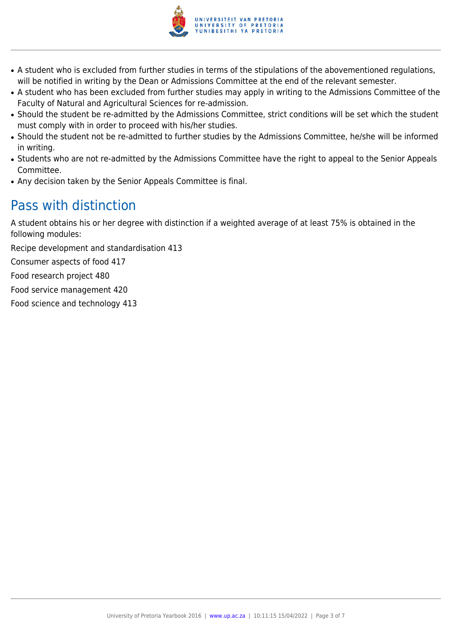

- A student who is excluded from further studies in terms of the stipulations of the abovementioned regulations, will be notified in writing by the Dean or Admissions Committee at the end of the relevant semester.
- A student who has been excluded from further studies may apply in writing to the Admissions Committee of the Faculty of Natural and Agricultural Sciences for re-admission.
- Should the student be re-admitted by the Admissions Committee, strict conditions will be set which the student must comply with in order to proceed with his/her studies.
- Should the student not be re-admitted to further studies by the Admissions Committee, he/she will be informed in writing.
- Students who are not re-admitted by the Admissions Committee have the right to appeal to the Senior Appeals Committee.
- Any decision taken by the Senior Appeals Committee is final.

# Pass with distinction

A student obtains his or her degree with distinction if a weighted average of at least 75% is obtained in the following modules:

Recipe development and standardisation 413

Consumer aspects of food 417

Food research project 480

Food service management 420

Food science and technology 413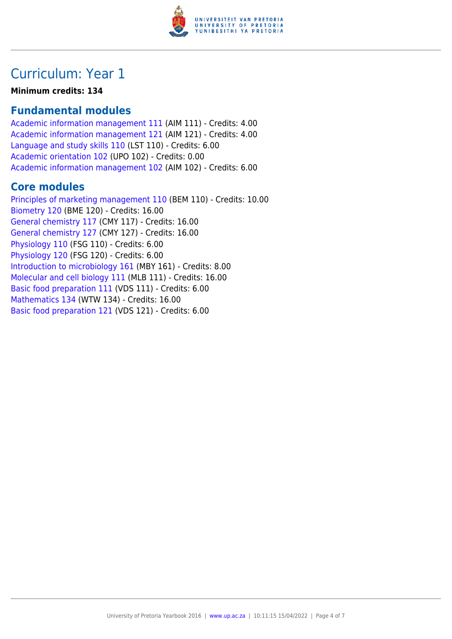

# Curriculum: Year 1

#### **Minimum credits: 134**

### **Fundamental modules**

[Academic information management 111](https://www.up.ac.za/yearbooks/2016/modules/view/AIM 111) (AIM 111) - Credits: 4.00 [Academic information management 121](https://www.up.ac.za/yearbooks/2016/modules/view/AIM 121) (AIM 121) - Credits: 4.00 [Language and study skills 110](https://www.up.ac.za/yearbooks/2016/modules/view/LST 110) (LST 110) - Credits: 6.00 [Academic orientation 102](https://www.up.ac.za/yearbooks/2016/modules/view/UPO 102) (UPO 102) - Credits: 0.00 [Academic information management 102](https://www.up.ac.za/yearbooks/2016/modules/view/AIM 102) (AIM 102) - Credits: 6.00

### **Core modules**

[Principles of marketing management 110](https://www.up.ac.za/yearbooks/2016/modules/view/BEM 110) (BEM 110) - Credits: 10.00 [Biometry 120](https://www.up.ac.za/yearbooks/2016/modules/view/BME 120) (BME 120) - Credits: 16.00 [General chemistry 117](https://www.up.ac.za/yearbooks/2016/modules/view/CMY 117) (CMY 117) - Credits: 16.00 [General chemistry 127](https://www.up.ac.za/yearbooks/2016/modules/view/CMY 127) (CMY 127) - Credits: 16.00 [Physiology 110](https://www.up.ac.za/yearbooks/2016/modules/view/FSG 110) (FSG 110) - Credits: 6.00 [Physiology 120](https://www.up.ac.za/yearbooks/2016/modules/view/FSG 120) (FSG 120) - Credits: 6.00 [Introduction to microbiology 161](https://www.up.ac.za/yearbooks/2016/modules/view/MBY 161) (MBY 161) - Credits: 8.00 [Molecular and cell biology 111](https://www.up.ac.za/yearbooks/2016/modules/view/MLB 111) (MLB 111) - Credits: 16.00 [Basic food preparation 111](https://www.up.ac.za/yearbooks/2016/modules/view/VDS 111) (VDS 111) - Credits: 6.00 [Mathematics 134](https://www.up.ac.za/yearbooks/2016/modules/view/WTW 134) (WTW 134) - Credits: 16.00 [Basic food preparation 121](https://www.up.ac.za/yearbooks/2016/modules/view/VDS 121) (VDS 121) - Credits: 6.00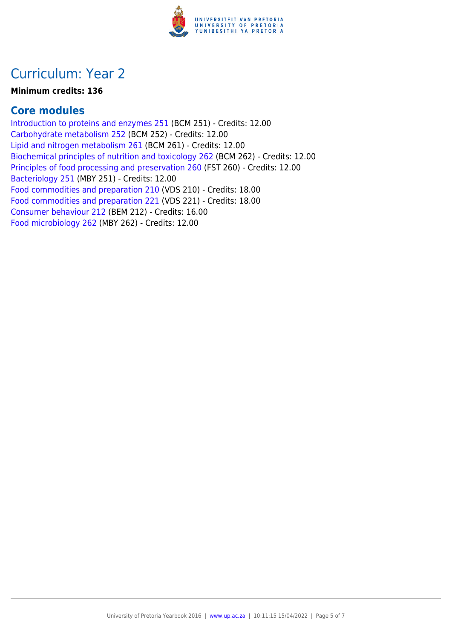

## Curriculum: Year 2

#### **Minimum credits: 136**

### **Core modules**

[Introduction to proteins and enzymes 251](https://www.up.ac.za/yearbooks/2016/modules/view/BCM 251) (BCM 251) - Credits: 12.00 [Carbohydrate metabolism 252](https://www.up.ac.za/yearbooks/2016/modules/view/BCM 252) (BCM 252) - Credits: 12.00 [Lipid and nitrogen metabolism 261](https://www.up.ac.za/yearbooks/2016/modules/view/BCM 261) (BCM 261) - Credits: 12.00 [Biochemical principles of nutrition and toxicology 262](https://www.up.ac.za/yearbooks/2016/modules/view/BCM 262) (BCM 262) - Credits: 12.00 [Principles of food processing and preservation 260](https://www.up.ac.za/yearbooks/2016/modules/view/FST 260) (FST 260) - Credits: 12.00 [Bacteriology 251](https://www.up.ac.za/yearbooks/2016/modules/view/MBY 251) (MBY 251) - Credits: 12.00 [Food commodities and preparation 210](https://www.up.ac.za/yearbooks/2016/modules/view/VDS 210) (VDS 210) - Credits: 18.00 [Food commodities and preparation 221](https://www.up.ac.za/yearbooks/2016/modules/view/VDS 221) (VDS 221) - Credits: 18.00 [Consumer behaviour 212](https://www.up.ac.za/yearbooks/2016/modules/view/BEM 212) (BEM 212) - Credits: 16.00 [Food microbiology 262](https://www.up.ac.za/yearbooks/2016/modules/view/MBY 262) (MBY 262) - Credits: 12.00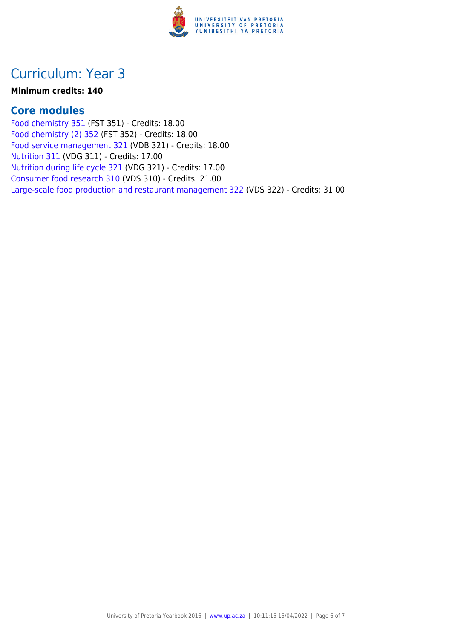

## Curriculum: Year 3

#### **Minimum credits: 140**

### **Core modules**

[Food chemistry 351](https://www.up.ac.za/yearbooks/2016/modules/view/FST 351) (FST 351) - Credits: 18.00 [Food chemistry \(2\) 352](https://www.up.ac.za/yearbooks/2016/modules/view/FST 352) (FST 352) - Credits: 18.00 [Food service management 321](https://www.up.ac.za/yearbooks/2016/modules/view/VDB 321) (VDB 321) - Credits: 18.00 [Nutrition 311](https://www.up.ac.za/yearbooks/2016/modules/view/VDG 311) (VDG 311) - Credits: 17.00 [Nutrition during life cycle 321](https://www.up.ac.za/yearbooks/2016/modules/view/VDG 321) (VDG 321) - Credits: 17.00 [Consumer food research 310](https://www.up.ac.za/yearbooks/2016/modules/view/VDS 310) (VDS 310) - Credits: 21.00 [Large-scale food production and restaurant management 322](https://www.up.ac.za/yearbooks/2016/modules/view/VDS 322) (VDS 322) - Credits: 31.00